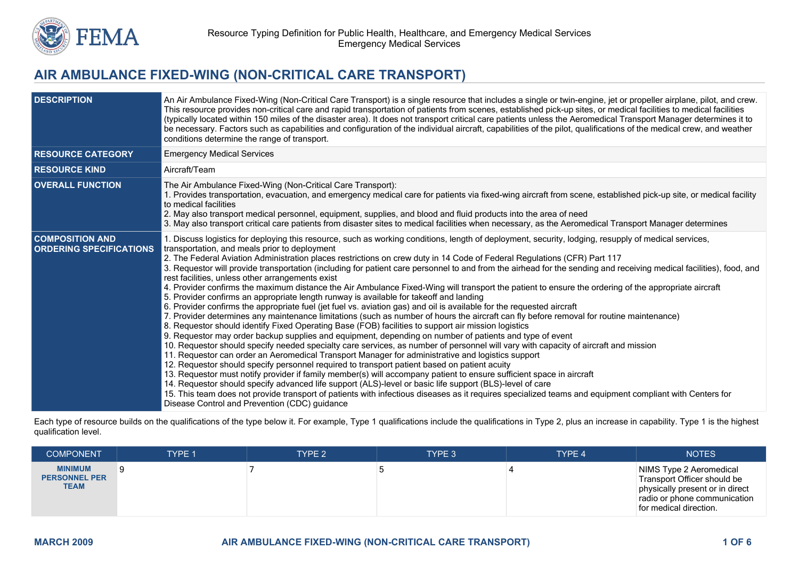

## **AIR AMBULANCE FIXED-WING (NON-CRITICAL CARE TRANSPORT)**

| <b>DESCRIPTION</b>                                       | An Air Ambulance Fixed-Wing (Non-Critical Care Transport) is a single resource that includes a single or twin-engine, jet or propeller airplane, pilot, and crew.<br>This resource provides non-critical care and rapid transportation of patients from scenes, established pick-up sites, or medical facilities to medical facilities<br>(typically located within 150 miles of the disaster area). It does not transport critical care patients unless the Aeromedical Transport Manager determines it to<br>be necessary. Factors such as capabilities and configuration of the individual aircraft, capabilities of the pilot, qualifications of the medical crew, and weather<br>conditions determine the range of transport.                                                                                                                                                                                                                                                                                                                                                                                                                                                                                                                                                                                                                                                                                                                                                                                                                                                                                                                                                                                                                                                                                                                                                                                                                                                                                                                                                                |
|----------------------------------------------------------|---------------------------------------------------------------------------------------------------------------------------------------------------------------------------------------------------------------------------------------------------------------------------------------------------------------------------------------------------------------------------------------------------------------------------------------------------------------------------------------------------------------------------------------------------------------------------------------------------------------------------------------------------------------------------------------------------------------------------------------------------------------------------------------------------------------------------------------------------------------------------------------------------------------------------------------------------------------------------------------------------------------------------------------------------------------------------------------------------------------------------------------------------------------------------------------------------------------------------------------------------------------------------------------------------------------------------------------------------------------------------------------------------------------------------------------------------------------------------------------------------------------------------------------------------------------------------------------------------------------------------------------------------------------------------------------------------------------------------------------------------------------------------------------------------------------------------------------------------------------------------------------------------------------------------------------------------------------------------------------------------------------------------------------------------------------------------------------------------|
| <b>RESOURCE CATEGORY</b>                                 | <b>Emergency Medical Services</b>                                                                                                                                                                                                                                                                                                                                                                                                                                                                                                                                                                                                                                                                                                                                                                                                                                                                                                                                                                                                                                                                                                                                                                                                                                                                                                                                                                                                                                                                                                                                                                                                                                                                                                                                                                                                                                                                                                                                                                                                                                                                 |
| <b>RESOURCE KIND</b>                                     | Aircraft/Team                                                                                                                                                                                                                                                                                                                                                                                                                                                                                                                                                                                                                                                                                                                                                                                                                                                                                                                                                                                                                                                                                                                                                                                                                                                                                                                                                                                                                                                                                                                                                                                                                                                                                                                                                                                                                                                                                                                                                                                                                                                                                     |
| <b>OVERALL FUNCTION</b>                                  | The Air Ambulance Fixed-Wing (Non-Critical Care Transport):<br>1. Provides transportation, evacuation, and emergency medical care for patients via fixed-wing aircraft from scene, established pick-up site, or medical facility<br>to medical facilities<br>2. May also transport medical personnel, equipment, supplies, and blood and fluid products into the area of need<br>3. May also transport critical care patients from disaster sites to medical facilities when necessary, as the Aeromedical Transport Manager determines                                                                                                                                                                                                                                                                                                                                                                                                                                                                                                                                                                                                                                                                                                                                                                                                                                                                                                                                                                                                                                                                                                                                                                                                                                                                                                                                                                                                                                                                                                                                                           |
| <b>COMPOSITION AND</b><br><b>ORDERING SPECIFICATIONS</b> | 1. Discuss logistics for deploying this resource, such as working conditions, length of deployment, security, lodging, resupply of medical services,<br>transportation, and meals prior to deployment<br>2. The Federal Aviation Administration places restrictions on crew duty in 14 Code of Federal Regulations (CFR) Part 117<br>3. Requestor will provide transportation (including for patient care personnel to and from the airhead for the sending and receiving medical facilities), food, and<br>rest facilities, unless other arrangements exist<br>4. Provider confirms the maximum distance the Air Ambulance Fixed-Wing will transport the patient to ensure the ordering of the appropriate aircraft<br>5. Provider confirms an appropriate length runway is available for takeoff and landing<br>6. Provider confirms the appropriate fuel (jet fuel vs. aviation gas) and oil is available for the requested aircraft<br>7. Provider determines any maintenance limitations (such as number of hours the aircraft can fly before removal for routine maintenance)<br>8. Requestor should identify Fixed Operating Base (FOB) facilities to support air mission logistics<br>9. Requestor may order backup supplies and equipment, depending on number of patients and type of event<br>10. Requestor should specify needed specialty care services, as number of personnel will vary with capacity of aircraft and mission<br>11. Requestor can order an Aeromedical Transport Manager for administrative and logistics support<br>12. Requestor should specify personnel required to transport patient based on patient acuity<br>13. Requestor must notify provider if family member(s) will accompany patient to ensure sufficient space in aircraft<br>14. Requestor should specify advanced life support (ALS)-level or basic life support (BLS)-level of care<br>15. This team does not provide transport of patients with infectious diseases as it requires specialized teams and equipment compliant with Centers for<br>Disease Control and Prevention (CDC) quidance |

Each type of resource builds on the qualifications of the type below it. For example, Type 1 qualifications include the qualifications in Type 2, plus an increase in capability. Type 1 is the highest qualification level.

| <b>COMPONENT</b>                                      | TYPE 1 | TYPE 2 | TYPE 3 | TYPE 4 | <b>NOTES</b>                                                                                                                                        |
|-------------------------------------------------------|--------|--------|--------|--------|-----------------------------------------------------------------------------------------------------------------------------------------------------|
| <b>MINIMUM</b><br><b>PERSONNEL PER</b><br><b>TEAM</b> |        |        |        |        | NIMS Type 2 Aeromedical<br>Transport Officer should be<br>physically present or in direct<br>radio or phone communication<br>for medical direction. |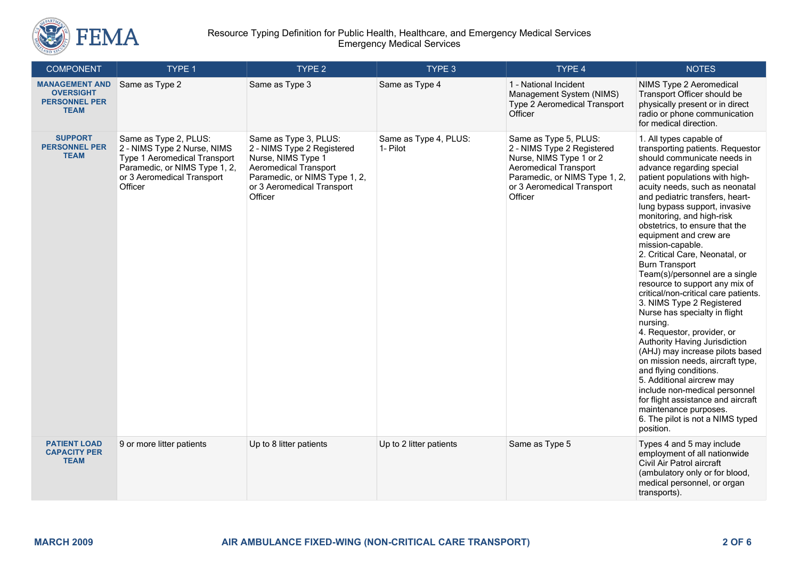

| <b>COMPONENT</b>                                                                 | TYPE 1                                                                                                                                                                | TYPE 2                                                                                                                                                                              | TYPE 3                            | TYPE 4                                                                                                                                                                                   | <b>NOTES</b>                                                                                                                                                                                                                                                                                                                                                                                                                                                                                                                                                                                                                                                                                                                                                                                                                                                                                                                                                                |
|----------------------------------------------------------------------------------|-----------------------------------------------------------------------------------------------------------------------------------------------------------------------|-------------------------------------------------------------------------------------------------------------------------------------------------------------------------------------|-----------------------------------|------------------------------------------------------------------------------------------------------------------------------------------------------------------------------------------|-----------------------------------------------------------------------------------------------------------------------------------------------------------------------------------------------------------------------------------------------------------------------------------------------------------------------------------------------------------------------------------------------------------------------------------------------------------------------------------------------------------------------------------------------------------------------------------------------------------------------------------------------------------------------------------------------------------------------------------------------------------------------------------------------------------------------------------------------------------------------------------------------------------------------------------------------------------------------------|
| <b>MANAGEMENT AND</b><br><b>OVERSIGHT</b><br><b>PERSONNEL PER</b><br><b>TEAM</b> | Same as Type 2                                                                                                                                                        | Same as Type 3                                                                                                                                                                      | Same as Type 4                    | 1 - National Incident<br>Management System (NIMS)<br>Type 2 Aeromedical Transport<br>Officer                                                                                             | NIMS Type 2 Aeromedical<br>Transport Officer should be<br>physically present or in direct<br>radio or phone communication<br>for medical direction.                                                                                                                                                                                                                                                                                                                                                                                                                                                                                                                                                                                                                                                                                                                                                                                                                         |
| <b>SUPPORT</b><br><b>PERSONNEL PER</b><br><b>TEAM</b>                            | Same as Type 2, PLUS:<br>2 - NIMS Type 2 Nurse, NIMS<br><b>Type 1 Aeromedical Transport</b><br>Paramedic, or NIMS Type 1, 2,<br>or 3 Aeromedical Transport<br>Officer | Same as Type 3, PLUS:<br>2 - NIMS Type 2 Registered<br>Nurse, NIMS Type 1<br><b>Aeromedical Transport</b><br>Paramedic, or NIMS Type 1, 2,<br>or 3 Aeromedical Transport<br>Officer | Same as Type 4, PLUS:<br>1- Pilot | Same as Type 5, PLUS:<br>2 - NIMS Type 2 Registered<br>Nurse, NIMS Type 1 or 2<br><b>Aeromedical Transport</b><br>Paramedic, or NIMS Type 1, 2,<br>or 3 Aeromedical Transport<br>Officer | 1. All types capable of<br>transporting patients. Requestor<br>should communicate needs in<br>advance regarding special<br>patient populations with high-<br>acuity needs, such as neonatal<br>and pediatric transfers, heart-<br>lung bypass support, invasive<br>monitoring, and high-risk<br>obstetrics, to ensure that the<br>equipment and crew are<br>mission-capable.<br>2. Critical Care, Neonatal, or<br><b>Burn Transport</b><br>Team(s)/personnel are a single<br>resource to support any mix of<br>critical/non-critical care patients.<br>3. NIMS Type 2 Registered<br>Nurse has specialty in flight<br>nursing.<br>4. Requestor, provider, or<br>Authority Having Jurisdiction<br>(AHJ) may increase pilots based<br>on mission needs, aircraft type,<br>and flying conditions.<br>5. Additional aircrew may<br>include non-medical personnel<br>for flight assistance and aircraft<br>maintenance purposes.<br>6. The pilot is not a NIMS typed<br>position. |
| <b>PATIENT LOAD</b><br><b>CAPACITY PER</b><br><b>TEAM</b>                        | 9 or more litter patients                                                                                                                                             | Up to 8 litter patients                                                                                                                                                             | Up to 2 litter patients           | Same as Type 5                                                                                                                                                                           | Types 4 and 5 may include<br>employment of all nationwide<br>Civil Air Patrol aircraft<br>(ambulatory only or for blood,<br>medical personnel, or organ<br>transports).                                                                                                                                                                                                                                                                                                                                                                                                                                                                                                                                                                                                                                                                                                                                                                                                     |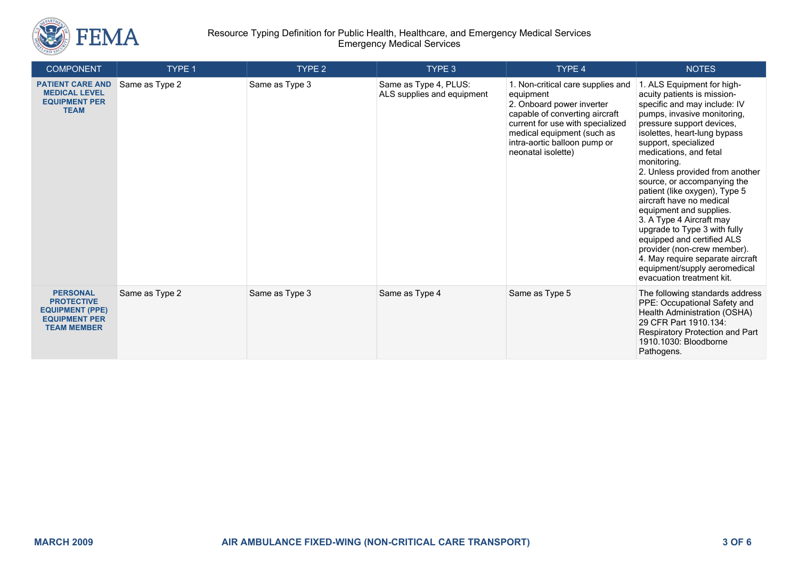

## Resource Typing Definition for Public Health, Healthcare, and Emergency Medical Services Emergency Medical Services

| <b>COMPONENT</b>                                                                                             | TYPE 1         | TYPE 2         | TYPE 3                                              | TYPE 4                                                                                                                                                                                                                                | <b>NOTES</b>                                                                                                                                                                                                                                                                                                                                                                                                                                                                                                                                                                                                                               |
|--------------------------------------------------------------------------------------------------------------|----------------|----------------|-----------------------------------------------------|---------------------------------------------------------------------------------------------------------------------------------------------------------------------------------------------------------------------------------------|--------------------------------------------------------------------------------------------------------------------------------------------------------------------------------------------------------------------------------------------------------------------------------------------------------------------------------------------------------------------------------------------------------------------------------------------------------------------------------------------------------------------------------------------------------------------------------------------------------------------------------------------|
| <b>PATIENT CARE AND</b><br><b>MEDICAL LEVEL</b><br><b>EQUIPMENT PER</b><br><b>TEAM</b>                       | Same as Type 2 | Same as Type 3 | Same as Type 4, PLUS:<br>ALS supplies and equipment | 1. Non-critical care supplies and<br>equipment<br>2. Onboard power inverter<br>capable of converting aircraft<br>current for use with specialized<br>medical equipment (such as<br>intra-aortic balloon pump or<br>neonatal isolette) | 1. ALS Equipment for high-<br>acuity patients is mission-<br>specific and may include: IV<br>pumps, invasive monitoring,<br>pressure support devices,<br>isolettes, heart-lung bypass<br>support, specialized<br>medications, and fetal<br>monitoring.<br>2. Unless provided from another<br>source, or accompanying the<br>patient (like oxygen), Type 5<br>aircraft have no medical<br>equipment and supplies.<br>3. A Type 4 Aircraft may<br>upgrade to Type 3 with fully<br>equipped and certified ALS<br>provider (non-crew member).<br>4. May require separate aircraft<br>equipment/supply aeromedical<br>evacuation treatment kit. |
| <b>PERSONAL</b><br><b>PROTECTIVE</b><br><b>EQUIPMENT (PPE)</b><br><b>EQUIPMENT PER</b><br><b>TEAM MEMBER</b> | Same as Type 2 | Same as Type 3 | Same as Type 4                                      | Same as Type 5                                                                                                                                                                                                                        | The following standards address<br>PPE: Occupational Safety and<br>Health Administration (OSHA)<br>29 CFR Part 1910.134:<br>Respiratory Protection and Part<br>1910.1030: Bloodborne<br>Pathogens.                                                                                                                                                                                                                                                                                                                                                                                                                                         |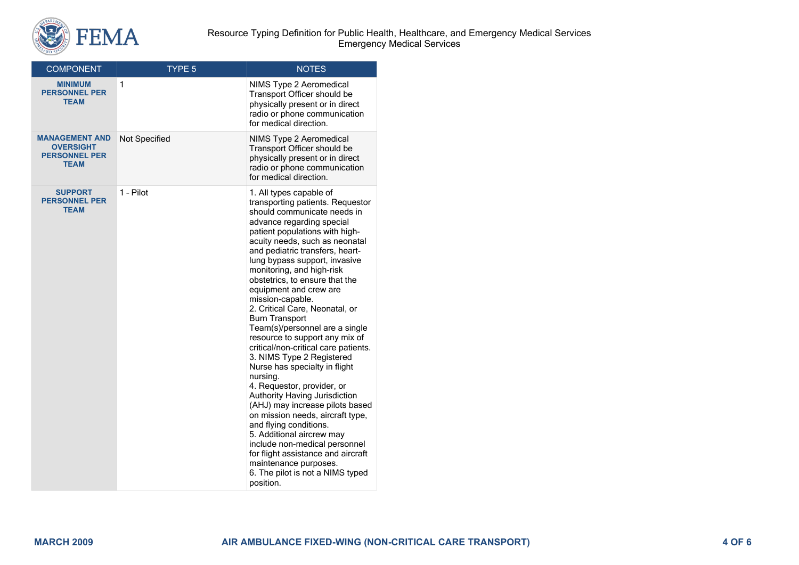

| <b>COMPONENT</b>                                                                 | TYPE 5               | <b>NOTES</b>                                                                                                                                                                                                                                                                                                                                                                                                                                                                                                                                                                                                                                                                                                                                                                                                                                                                                                                                                                |
|----------------------------------------------------------------------------------|----------------------|-----------------------------------------------------------------------------------------------------------------------------------------------------------------------------------------------------------------------------------------------------------------------------------------------------------------------------------------------------------------------------------------------------------------------------------------------------------------------------------------------------------------------------------------------------------------------------------------------------------------------------------------------------------------------------------------------------------------------------------------------------------------------------------------------------------------------------------------------------------------------------------------------------------------------------------------------------------------------------|
| <b>MINIMUM</b><br><b>PERSONNEL PER</b><br><b>TEAM</b>                            | 1                    | NIMS Type 2 Aeromedical<br>Transport Officer should be<br>physically present or in direct<br>radio or phone communication<br>for medical direction.                                                                                                                                                                                                                                                                                                                                                                                                                                                                                                                                                                                                                                                                                                                                                                                                                         |
| <b>MANAGEMENT AND</b><br><b>OVERSIGHT</b><br><b>PERSONNEL PER</b><br><b>TEAM</b> | <b>Not Specified</b> | NIMS Type 2 Aeromedical<br>Transport Officer should be<br>physically present or in direct<br>radio or phone communication<br>for medical direction.                                                                                                                                                                                                                                                                                                                                                                                                                                                                                                                                                                                                                                                                                                                                                                                                                         |
| <b>SUPPORT</b><br><b>PERSONNEL PER</b><br><b>TEAM</b>                            | 1 - Pilot            | 1. All types capable of<br>transporting patients. Requestor<br>should communicate needs in<br>advance regarding special<br>patient populations with high-<br>acuity needs, such as neonatal<br>and pediatric transfers, heart-<br>lung bypass support, invasive<br>monitoring, and high-risk<br>obstetrics, to ensure that the<br>equipment and crew are<br>mission-capable.<br>2. Critical Care, Neonatal, or<br><b>Burn Transport</b><br>Team(s)/personnel are a single<br>resource to support any mix of<br>critical/non-critical care patients.<br>3. NIMS Type 2 Registered<br>Nurse has specialty in flight<br>nursing.<br>4. Requestor, provider, or<br>Authority Having Jurisdiction<br>(AHJ) may increase pilots based<br>on mission needs, aircraft type,<br>and flying conditions.<br>5. Additional aircrew may<br>include non-medical personnel<br>for flight assistance and aircraft<br>maintenance purposes.<br>6. The pilot is not a NIMS typed<br>position. |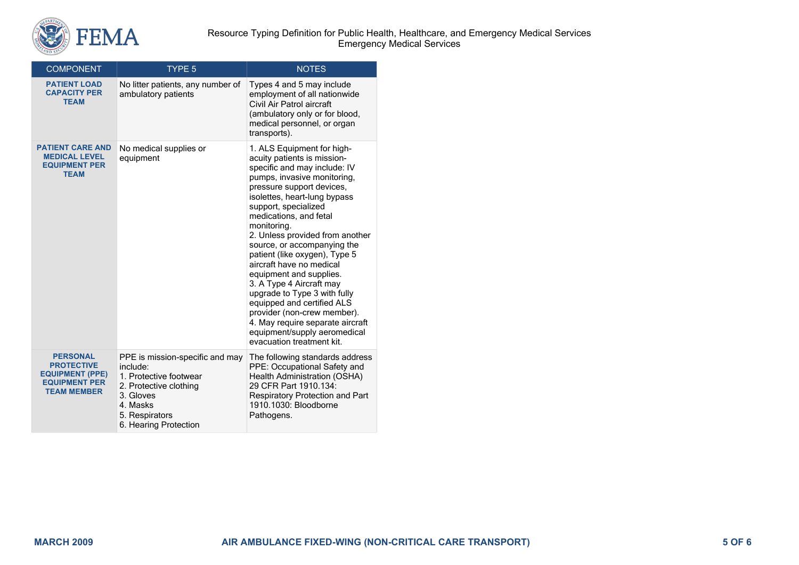

| <b>COMPONENT</b><br>TYPE <sub>5</sub>                                                                        |                                                                                                                                                                     | <b>NOTES</b>                                                                                                                                                                                                                                                                                                                                                                                                                                                                                                                                                                                                                               |  |  |
|--------------------------------------------------------------------------------------------------------------|---------------------------------------------------------------------------------------------------------------------------------------------------------------------|--------------------------------------------------------------------------------------------------------------------------------------------------------------------------------------------------------------------------------------------------------------------------------------------------------------------------------------------------------------------------------------------------------------------------------------------------------------------------------------------------------------------------------------------------------------------------------------------------------------------------------------------|--|--|
| <b>PATIENT LOAD</b><br><b>CAPACITY PER</b><br><b>TEAM</b>                                                    | No litter patients, any number of<br>ambulatory patients                                                                                                            | Types 4 and 5 may include<br>employment of all nationwide<br>Civil Air Patrol aircraft<br>(ambulatory only or for blood,<br>medical personnel, or organ<br>transports).                                                                                                                                                                                                                                                                                                                                                                                                                                                                    |  |  |
| <b>PATIENT CARE AND</b><br><b>MEDICAL LEVEL</b><br><b>EQUIPMENT PER</b><br><b>TEAM</b>                       | No medical supplies or<br>equipment                                                                                                                                 | 1. ALS Equipment for high-<br>acuity patients is mission-<br>specific and may include: IV<br>pumps, invasive monitoring,<br>pressure support devices,<br>isolettes, heart-lung bypass<br>support, specialized<br>medications, and fetal<br>monitoring.<br>2. Unless provided from another<br>source, or accompanying the<br>patient (like oxygen), Type 5<br>aircraft have no medical<br>equipment and supplies.<br>3. A Type 4 Aircraft may<br>upgrade to Type 3 with fully<br>equipped and certified ALS<br>provider (non-crew member).<br>4. May require separate aircraft<br>equipment/supply aeromedical<br>evacuation treatment kit. |  |  |
| <b>PERSONAL</b><br><b>PROTECTIVE</b><br><b>EQUIPMENT (PPE)</b><br><b>EQUIPMENT PER</b><br><b>TEAM MEMBER</b> | PPE is mission-specific and may<br>include:<br>1. Protective footwear<br>2. Protective clothing<br>3. Gloves<br>4. Masks<br>5. Respirators<br>6. Hearing Protection | The following standards address<br>PPE: Occupational Safety and<br>Health Administration (OSHA)<br>29 CFR Part 1910.134:<br>Respiratory Protection and Part<br>1910.1030: Bloodborne<br>Pathogens.                                                                                                                                                                                                                                                                                                                                                                                                                                         |  |  |